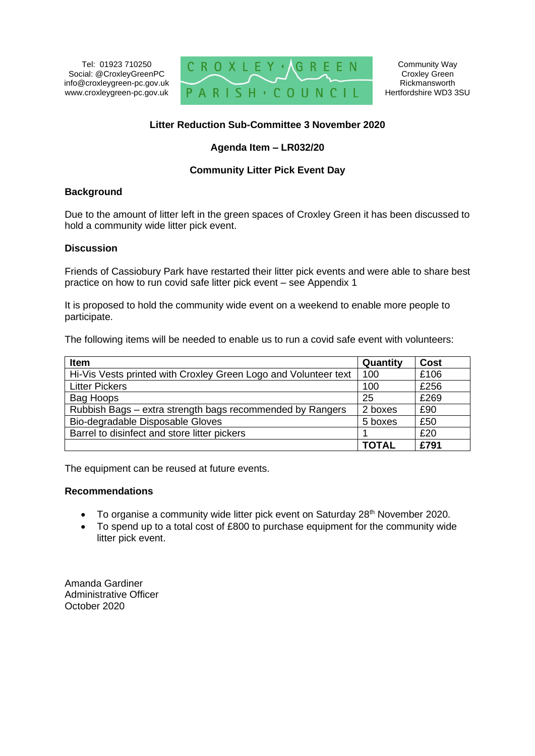Tel: 01923 710250 Social: @CroxleyGreenPC info@croxleygreen-pc.gov.uk www.croxleygreen-pc.gov.uk



# **Litter Reduction Sub-Committee 3 November 2020**

## **Agenda Item – LR032/20**

## **Community Litter Pick Event Day**

#### **Background**

Due to the amount of litter left in the green spaces of Croxley Green it has been discussed to hold a community wide litter pick event.

#### **Discussion**

Friends of Cassiobury Park have restarted their litter pick events and were able to share best practice on how to run covid safe litter pick event – see Appendix 1

It is proposed to hold the community wide event on a weekend to enable more people to participate.

The following items will be needed to enable us to run a covid safe event with volunteers:

| <b>Item</b>                                                     | Quantity     | Cost |
|-----------------------------------------------------------------|--------------|------|
| Hi-Vis Vests printed with Croxley Green Logo and Volunteer text | 100          | £106 |
| <b>Litter Pickers</b>                                           | 100          | £256 |
| Bag Hoops                                                       | 25           | £269 |
| Rubbish Bags - extra strength bags recommended by Rangers       | 2 boxes      | £90  |
| Bio-degradable Disposable Gloves                                | 5 boxes      | £50  |
| Barrel to disinfect and store litter pickers                    |              | £20  |
|                                                                 | <b>TOTAL</b> | £791 |

The equipment can be reused at future events.

#### **Recommendations**

- To organise a community wide litter pick event on Saturday 28<sup>th</sup> November 2020.
- To spend up to a total cost of £800 to purchase equipment for the community wide litter pick event.

Amanda Gardiner Administrative Officer October 2020